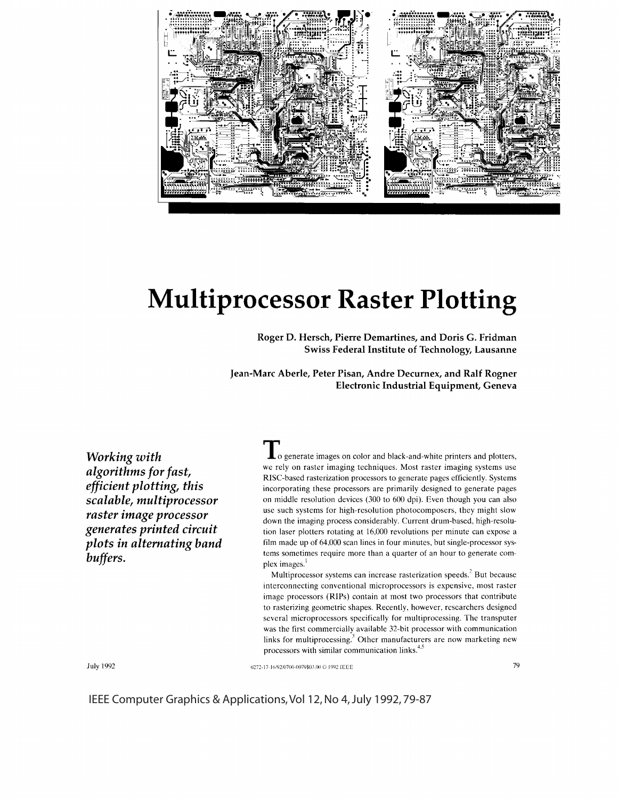

# **Multiprocessor Raster Plotting**

**Roger D. Hersch, Pierre Demartines, and Doris G. Fridman Swiss Federal Institute of Technology, Lausanne** 

**Jean-Marc Aberle, Peter Pisan, Andre Decurnex, and Ralf Rogner Electronic Industrial Equipment, Geneva** 

*Working with algorithms for fast, efficient plotting, this scalable, multiprocessor raster image processor generates printed circuit plots in alternating band buffers.* 

**To** generate images on color and black-and-white printers and plotters, we rely on raster imaging techniques. Most raster imaging systems use RISC-based rasterization processors to generate pages efficiently. Systems incorporating these processors are primarily designed to generate pages on middle resolution devices (300 to 600 dpi). Even though you can also use such systems for high-resolution photocomposers, they might slow down the imaging process considerably. Current drum-based, high-resolution laser plotters rotating at 16,000 revolutions per minute can expose a film made up of 64.000 scan lines in four minutes, but single-processor systems sometimes require more than a quarter of an hour to generate complex images.

Multiprocessor systems can increase rasterization speeds.<sup>2</sup> But because interconnecting conventional microprocessors is expensive, most raster image processors (RIPs) contain at most two processors that contribute to rasterizing geometric shapes. Recently, however, researchers designed several microprocessors specifically for multiprocessing. The transputer was the first commercially available 32-bit processor with communication links for multiprocessing. $3$  Other manufacturers are now marketing new processors with similar communication links.<sup>4</sup>

July 1992

0272-17-16/92/0700-0079\$03.00 © 1992 IEEE 79

IEEE Computer Graphics & Applications, Vol 12, No 4, July 1992, 79-87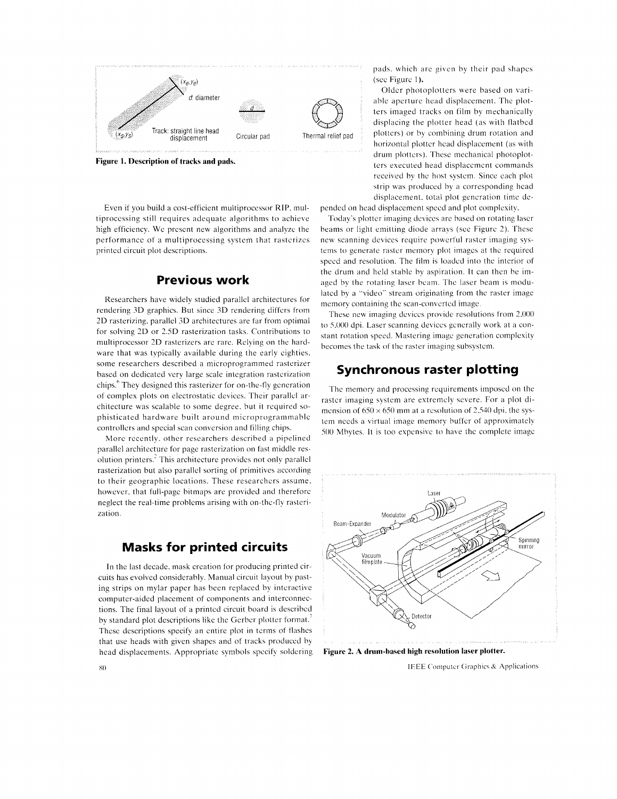

**Figure 1. Description of tracks and pads.** 

Even if you build a cost-efficient multiprocessor RIP, multiprocessing still requires adequate algorithms to achieve high efficiency. We present new algorithms and analyze the performance of a multiprocessing system that rastcrizcs printed circuit plot descriptions.

### **Previous work**

Researchers have widely studied parallel architectures for rendering 3D graphics. But since 3D rendering differs from 2D rasterizing. parallel 3D architectures are far from optimal for solving 2D or 2.5D rasterization tasks. Contributions to multiprocessor 2D rasterizers are rare. Relying on the hardware that was typically available during the early eighties, some researchers described a microprogrammed rasterizer based on dedicated very large scale integration rastcrization chips.<sup>6</sup> They designed this rasterizer for on-the-fly generation of complex plots on electrostatic devices. Their parallel architecture was scalable to some degree, hut it required sophisticated hardware built around microprogrammahlc controllers and special scan conversion and filling chips.

More recently. other researchers described a pipelined parallel architecture for page rasterization on fast middle resolution printers.<sup>2</sup> This architecture provides not only parallel rasterization hut also parallel sorting of primitives according to their geographic locations. These researchers assume. however. that full-page bitmaps are provided and therefore neglect the real-time problems arising with on-the-fly rasterization.

## **Masks for printed circuits**

In the last decade, mask creation for producing printed circuits has evolved considerably. Manual circuit layout hy pasting strips on mylar paper has been replaced hy interactive computer-aided placement of components and interconnections. The final layout of a printed circuit board is described by standard plot descriptions like the Gerber plotter format. These descriptions specify an entire plot in terms of flashes that use heads with given shapes and of tracks produced by head displacements. Appropriate symbols specify soldering **Figure 2. A drum-based high resolution laser plotter.** 

pads, which are given hy their pad shapes (sec Figure I),

Older photoplotters were based on variable aperture head displacement. The plotters imaged tracks on film by mechanically displacing the plotter head (as with flatbed plotters) or hy combining drum rotation and horizontal plotter head displacement (as with drum plotters). These mechanical photoplotters executed head displacement commands received hy the host system. Since each plot strip was produced hy a corresponding head displacement, total plot generation time de-

pended on head displacement speed and plot complexitv.

Today's plotter imaging devices arc based on rotating laser beams or light emitting diode arrays (sec Figure 2). These new scanning devices require powerful raster imaging systems to generate raster memorv plot images at the required speed and resolution. The film is loaded into the interior of the drum and held stable by aspiration. It can then he imaged by the rotating laser beam. The laser beam is modulated by a "video" stream originating from the raster image memory containing the scan-converted image.

These new imaging devices provide resolutions from 2,000 to 5,000 dpi. Laser scanning devices generally work at a constant rotation speed. Mastering image generation complexity becomes the task of the raster imaging subsystem.

# **Synchronous raster plotting**

The memory and processing requirements imposed on the raster imaging system are extremely severe. For a plot dimension of  $650 \times 650$  mm at a resolution of 2.540 dpi, the system needs a virtual image memory buffer of approximately 500 Mhytes. It is too expensive to have the complete image



XO **IEEE Computer Graphics & Applications**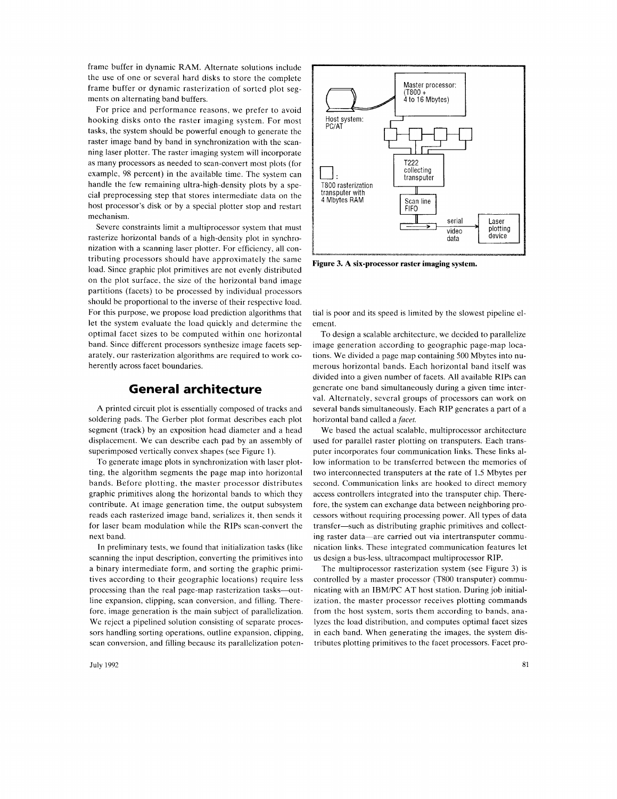frame buffer in dynamic RAM. Alternate solutions include the use of one or several hard disks to store the complete frame buffer or dynamic rasterization of sorted plot segments on alternating band buffers.

For price and performance reasons, we prefer to avoid hooking disks onto the raster imaging system. For most tasks, the system should be powerful enough to generate the raster image band by band in synchronization with the scanning laser plotter. The raster imaging system will incorporate as many processors as needed to scan-convert most plots (for example, 98 percent) in the available time. The system can handle the few remaining ultra-high-density plots by a special preprocessing step that stores intermediate data on the host processor's disk or by a special plotter stop and restart mechanism.

Severe constraints limit a multiprocessor system that must rasterize horizontal bands of a high-density plot in synchronization with a scanning laser plotter. For efficiency, all contributing processors should have approximately the same load. Since graphic plot primitives are not evenly distributed on the plot surface, the size of the horizontal band image partitions (facets) to be processed by individual processors should be proportional to the inverse of their respective load. For this purpose, we propose load prediction algorithms that let the system evaluate the load quickly and determine the optimal facet sizes to be computed within one horizontal band. Since different processors synthesize image facets separately, our rasterization algorithms are required to work coherently across facet boundaries.

#### **General architecture**

A printed circuit plot is essentially composed of tracks and soldering pads. The Gerber plot format describes each plot segment (track) by an exposition head diameter and a head displacement. We can describe each pad by an assembly of superimposed vertically convex shapes (see Figure 1).

To generate image plots in synchronization with laser plotting, the algorithm segments the page map into horizontal bands. Before plotting. the master processor distributes graphic primitives along the horizontal bands to which they contribute. At image generation time, the output subsystem reads each rasterized image band, serializes it, then sends it for laser beam modulation while the RIPs scan-convert the next band.

In preliminary tests, we found that initialization tasks (like scanning the input description, converting the primitives into a binary intermediate form, and sorting the graphic primitives according to their geographic locations) require less processing than the real page-map rasterization tasks-outline expansion, clipping, scan conversion, and filling. Therefore, image generation is the main subject of parallelization. We reject a pipelined solution consisting of separate processors handling sorting operations, outline expansion, clipping, scan conversion, and filling because its parallelization poten-

July 1992



**Figure 3. A six-processor raster imaging system.** 

tial is poor and its speed is limited by the slowest pipeline element.

To design a scalable architecture, we decided to parallelize image generation according to geographic page-map locations. We divided a page map containing 500 Mbytes into numerous horizontal bands. Each horizontal band itself was divided into a given number of facets. All available RIPs can generate one band simultaneously during a given time interval. Alternately, several groups of processors can work on several bands simultaneously. Each RIP generates a part of a horizontal band called a *facet.* 

We based the actual scalable, multiprocessor architecture used for parallel raster plotting on transputers. Each transputer incorporates four communication links. These links allow information to be transferred between the memories of two interconnected transputers at the rate of 1.5 Mbytes per second. Communication links are hooked to direct memory access controllers integrated into the transputer chip. Therefore, the system can exchange data between neighboring processors without requiring processing power. All types of data transfer-such as distributing graphic primitives and collecting raster data-are carried out via intertransputer communication links. These integrated communication features let us design a bus-less, ultracompact multiprocessor RIP.

The multiprocessor rasterization system (see Figure 3) is controlled by a master processor (T800 transputer) communicating with an IBM/PC AT host station. During job initialization, the master processor receives plotting commands from the host system, sorts them according to bands, analyzes the load distribution, and computes optimal facet sizes in each band. When generating the images, the system distributes plotting primitives to the facet processors. Facet pro-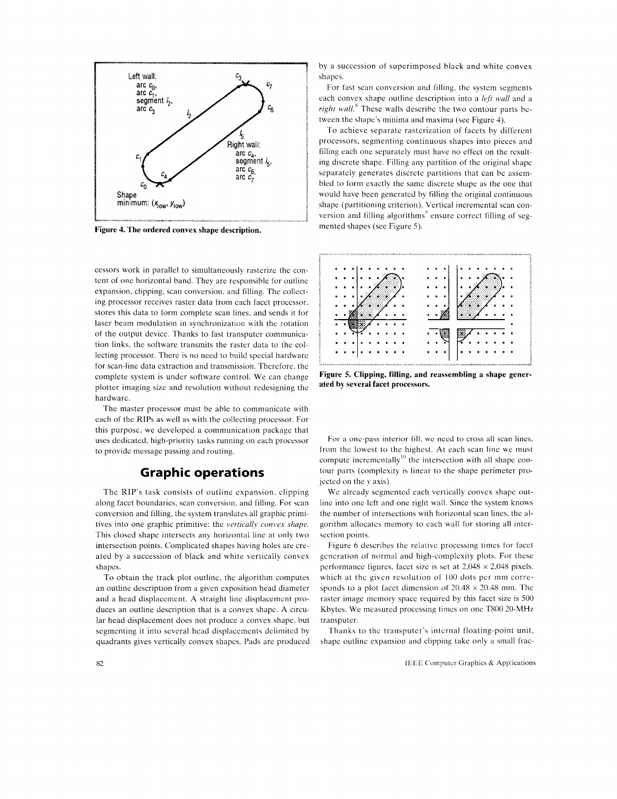

Figure 4. The ordered convex shape description.

cessors work in parallel to simultaneously rasterize the content of one horizontal band. They are responsible for outline expansion, clipping, scan conversion. and filling. The collecting processor receives raster data from each facet processor. stores this data to form complete scan lines. and sends it for laser beam modulation in synchronization with the rotation of the output device. Thanks to fast transputer communication links, the software transmits the raster data to the collecting processor. There is no need to build special hardware for scan-line data extraction and transmission. Therefore. the complete system is under software control. We can change plotter imaging size and resolution without redesigning the hardware.

The master processor must be able to communicate with each of the RIPs as well as with the collecting processor. For this purpose. we developed a communication package that uses dedicated. high-priority tasks running on each processor to provide message passing and routing.

#### **Graphic operations**

The RIP's task consists of outline expansion. clipping along facet boundaries. scan conversion. and filling. For scan conversion and filling. the system translates all graphic primitives into one graphic primitive: the *vertically convex shape.*  This closed shape intersects any horizontal line at only two intersection points. Complicated shapes having holes are created by a succession of black and white vertically convex shapes.

To obtain the track plot outline. the algorithm computes an outline description from a given exposition head diameter and a head displacement. A straight line displacement produces an outline description that is a convex shape. A circular head displacement does not produce a convex shape. but segmenting it into several head displacements delimited by quadrants gives vertically convex shapes. Pads are produced

by a succession of superimposed black and white convex shapes.

For fast scan conversion and filling. the system segments each convex shape outline description into a *left wall* and a *right wall.*<sup>8</sup> These walls describe the two contour parts between the shape's minima and maxima (see Figure 4).

To achieve separate rasterization of facets by different processors. segmenting continuous shapes into pieces and filling each one separately must have no effect on the resulting discrete shape. Filling any partition of the original shape separately generates discrete partitions that can be assembled to form exactly the same discrete shape as the one that would have been generated by filling the original continuous shape (partitioning criterion). Vertical incremental scan conmented shapes (see Figure 5).



Figure 5. Clipping, filling, and reassembling a shape generated by several facet processors.

For a one-pass interior fill. we need to cross all scan lines, from the lowest to the highest. At each scan line we must compute incrementally<sup>10</sup> the intersection with all shape contour parts (complexity is linear to the shape perimeter projected on *they* axis).

We already segmented each vertically convex shape outline into one left and one right wall. Since the system knows the number of intersections with horizontal scan lines. the algorithm allocates memory to each wall for storing all intersection points.

Figure 6 describes the relative processing times for facet generation of normal and high-complexity plots. For these performance figures, facet size is set at  $2,048 \times 2,048$  pixels. which at the given resolution of 100 dots per mm corresponds to a plot facet dimension of  $20.48 \times 20.48$  mm. The raster image memory space required by this facet size is 500 Khytes. We measured processing times on one T800 20-MHz transputer.

Thanks to the transputer's internal floating-point unit. shape outline expansion and clipping take only a small frac-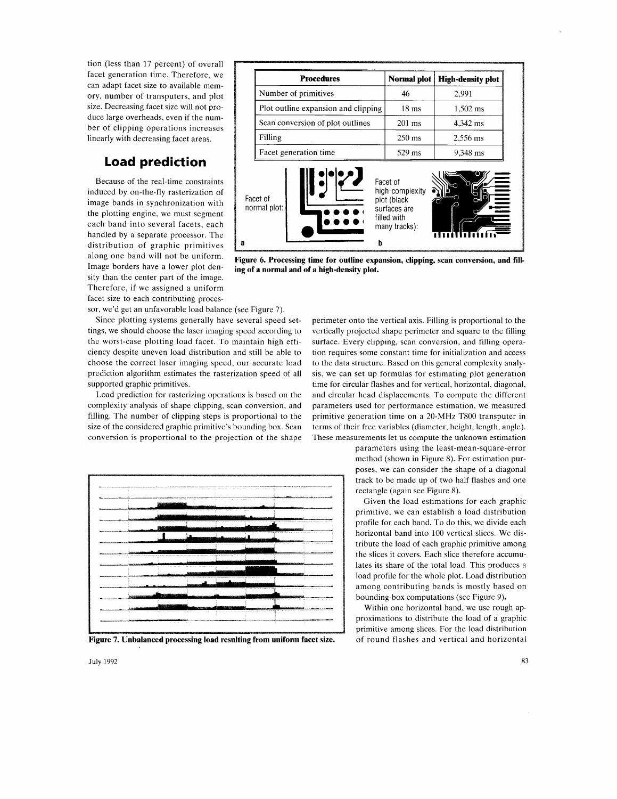tion (less than 17 percent) of overall facet generation time. Therefore, we can adapt facet size to available memory, number of transputers, and plot size. Decreasing facet size will not produce large overheads, even if the number of clipping operations increases linearly with decreasing facet areas.

# **Load prediction**

Because of the real-time constraints induced by on-the-fly rasterization of image bands in synchronization with the plotting engine, we must segment each band into several facets, each handled by a separate processor. The distribution of graphic primitives along one band will not be uniform. Image borders have a lower plot density than the center part of the image. Therefore, if we assigned a uniform facet size to each contributing processor, we'd get an unfavorable load balance (see Figure 7).

Since plotting systems generally have several speed settings, we should choose the laser imaging speed according to the worst-case plotting load facet. To maintain high efficiency despite uneven load distribution and still be able to choose the correct laser imaging speed, our accurate load prediction algorithm estimates the rasterization speed of all supported graphic primitives.

Load prediction for rasterizing operations is based on the complexity analysis of shape clipping, scan conversion, and filling. The number of clipping steps is proportional to the size of the considered graphic primitive's bounding box. Scan conversion is proportional to the projection of the shape



**Figure 7. Unbalanced processing load resulting from uniform facet size.** 

| <b>Procedures</b>                   | Normal plot                 | <b>High-density plot</b> |
|-------------------------------------|-----------------------------|--------------------------|
| Number of primitives                | 46                          | 2,991                    |
| Plot outline expansion and clipping | $18 \text{ ms}$             | $1,502$ ms               |
| Scan conversion of plot outlines    | $201 \text{ ms}$            | 4,342 ms                 |
| Filling                             | $250 \text{ ms}$            | 2,556 ms                 |
| Facet generation time               | $529$ ms                    | 9,348 ms                 |
|                                     | Facet of<br>high-complexity |                          |

**ing of a normal and of a high-density plot.** 

perimeter onto the vertical axis. Filling is proportional to the vertically projected shape perimeter and square to the filling surface. Every clipping, scan conversion, and filling operation requires some constant time for initialization and access to the data structure. Based on this general complexity analysis, we can set up formulas for estimating plot generation time for circular flashes and for vertical, horizontal, diagonal, and circular head displacements. To compute the different parameters used for performance estimation, we measured primitive generation time on a 20-MHz T800 transputer in terms of their free variables (diameter, height, length, angle). These measurements let us compute the unknown estimation

> parameters using the least-mean-square-error method (shown in Figure 8). For estimation purposes, we can consider the shape of a diagonal track to be made up of two half flashes and one rectangle (again see Figure 8).

Given the load estimations for each graphic primitive, we can establish a load distribution profile for each band. To do this, we divide each horizontal band into 100 vertical slices. We distribute the load of each graphic primitive among the slices it covers. Each slice therefore accumulates its share of the total load. This produces a load profile for the whole plot. Load distribution among contributing bands is mostly based on bounding-box computations (see Figure 9).

Within one horizontal band, we use rough approximations to distribute the load of a graphic primitive among slices. For the load distribution of round flashes and vertical and horizontal

July 1992 83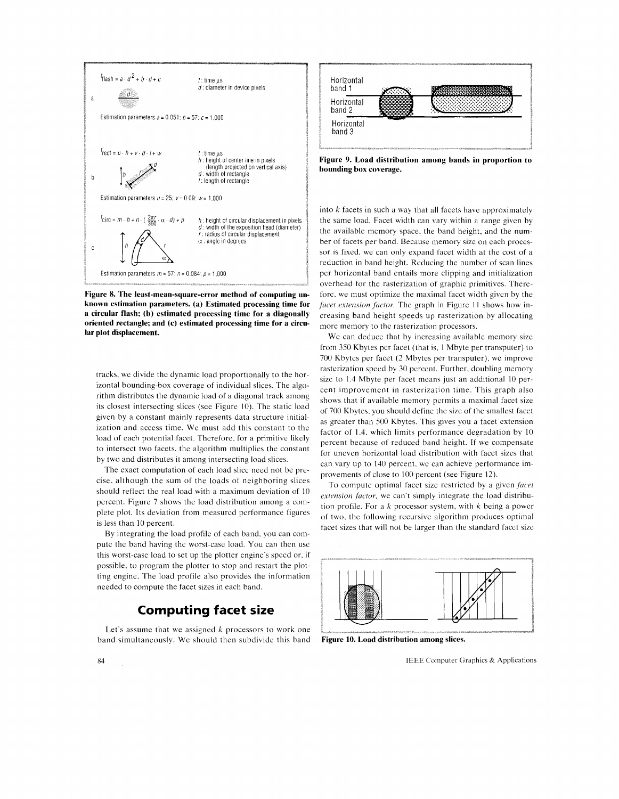

**Figure 8. The least-mean-square-error method of computing unknown estimation parameters. (a) Estimated processing time for a circular flash; (b) estimated processing time for a diagonally oriented rectangle; and (c) estimated processing time for a circular plot displacement.** 

tracks, we divide the dynamic load proportionally to the horizontal bounding-box coverage of individual slices. The algorithm distributes the dynamic load of a diagonal track among its closest intersecting slices (see Figure 10). The static load given by a constant mainly represents data structure initialization and access time. We must add this constant to the load of each potential facet. Therefore, for a primitive likely to intersect two facets, the algorithm multiplies the constant by two and distributes it among intersecting load slices.

The exact computation of each load slice need not be precise, although the sum of the loads of neighboring slices should reflect the real load with a maximum deviation of 10 percent. Figure 7 shows the load distribution among a complete plot. Its deviation from measured performance figures is less than 10 percent.

By integrating the load profile of each band. you can compute the band having the worst -case load. You can then use this worst-case load to set up the plotter engine's speed or. if possible. to program the plotter to stop and restart the plotting engine. The load profile also provides the information needed to compute the facet sizes in each band.

# **Computing facet size**

Let's assume that we assigned  $k$  processors to work one band simultaneously. We should then subdivide this band **Figure 10. Load distribution among slices.** 



**Figure 9. Load distribution among bands in proportion to bounding box coverage.** 

into *k* facets in such a way that all facets have approximately the same load. Facet width can vary within a range given by the available memory space, the band height, and the number of facets per band. Because memory size on each processor is fixed, we can only expand facet width at the cost of a reduction in band height. Reducing the number of scan lines per horizontal band entails more clipping and initialization overhead for the rasterization of graphic primitives. Therefore, we must optimize the maximal facet width given by the *facet extension factor*. The graph in Figure 11 shows how increasing band height speeds up rasterization by allocating more memory to the rasterization processors.

We can deduce that by increasing available memory size from 350 Kbytes per facet (that is. I Mbyte per transputer) to 700 Kbytcs per facet (2 Mbytes per transputer), we improve rasterization speed by 30 percent. Further, doubling memory size to 1.4 Mbyte per facet means just an additional 10 percent improvement in rasterization time. This graph also shows that if available memory permits a maximal facet size of 700 Kbytes. you should define the size of the smallest facet as greater than 500 Kbytes. This gives you a facet extension factor of 1.4. which limits performance degradation by 10 percent because of reduced band height. If we compensate for uneven horizontal load distribution with facet sizes that can vary up to 140 percent. we can achieve performance improvements of close to 100 percent (see Figure 12).

To compute optimal facet size restricted by a given *facet extension factor,* we can't simply integrate the load distribution profile. For a *k* processor system. with *k* being a power of two, the following recursive algorithm produces optimal facet sizes that will not be larger than the standard facet size

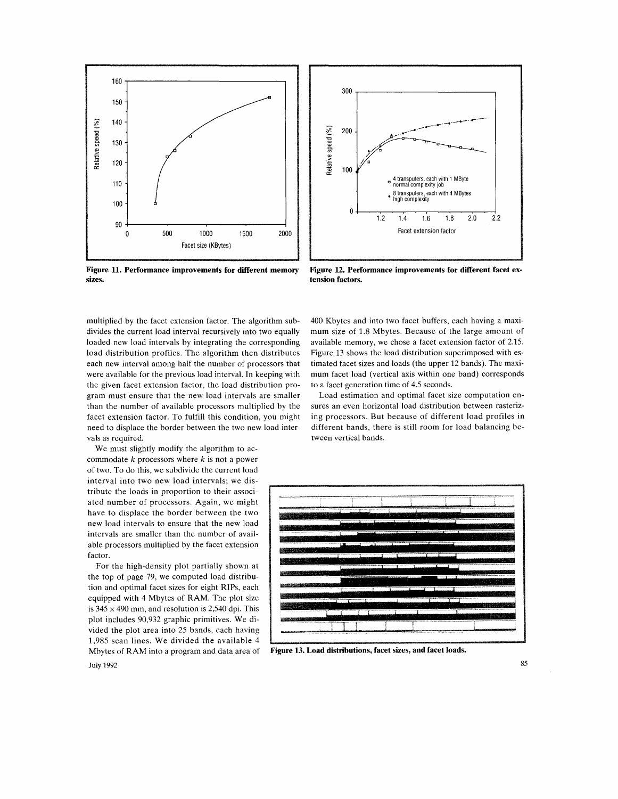

**Figure 11. Performance improvements for different memory**  sizes.

multiplied by the facet extension factor. The algorithm subdivides the current load interval recursively into two equally loaded new load intervals by integrating the corresponding load distribution profiles. The algorithm then distributes each new interval among half the number of processors that were available for the previous load interval. In keeping with the given facet extension factor, the load distribution program must ensure that the new load intervals are smaller than the number of available processors multiplied by the facet extension factor. To fulfill this condition, you might need to displace the border between the two new load intervals as required.

We must slightly modify the algorithm to accommodate *k* processors where *k* is not a power of two. To do this, we subdivide the current load interval into two new load intervals; we distribute the loads in proportion to their associated number of processors. Again, we might have to displace the border between the two new load intervals to ensure that the new load intervals are smaller than the number of available processors multiplied by the facet extension factor.

For the high-density plot partially shown at the top of page 79, we computed load distribution and optimal facet sizes for eight RIPs, each equipped with 4 Mbytes of RAM. The plot size is  $345 \times 490$  mm, and resolution is 2,540 dpi. This plot includes 90,932 graphic primitives. We divided the plot area into 25 bands, each having 1,985 scan lines. We divided the available 4 Mbytes of RAM into a program and data area of **Figure 13. Load distributions, facet** sizes, **and facet loads.** 



**Figure 12. Performance improvements for different facet** ex**tension factors.** 

400 Kbytes and into two facet buffers, each having a maximum size of 1.8 Mbytes. Because of the large amount of available memory, we chose a facet extension factor of 2.15. Figure 13 shows the load distribution superimposed with estimated facet sizes and loads (the upper 12 bands). The maximum facet load (vertical axis within one band) corresponds to a facet generation time of 4.5 seconds.

Load estimation and optimal facet size computation ensures an even horizontal load distribution between rasterizing processors. But because of different load profiles in different bands, there is still room for load balancing between vertical bands.



**July 1992**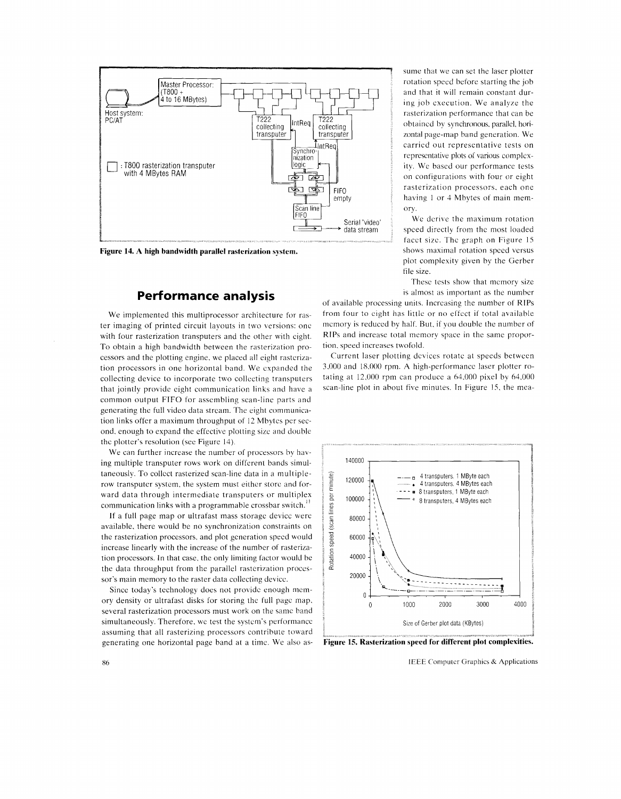

**Figure 14. A high bandwidth parallel rasterization system.** 

### **Performance analysis**

We implemented this multiprocessor architecture for raster imaging of printed circuit layouts in two versions: one with four rasterization transputers and the other with eight. To obtain a high bandwidth between the rasterization processors and the plotting engine. we placed all eight rastcrization processors in one horizontal band. We expanded the collecting device to incorporate two collecting transputers that jointly provide eight communication links and have a common output FIFO for assembling scan-line parts and generating the full video data stream. The eight communication links offer a maximum throughput of 12 Mbytes per second. enough to expand the effective plotting size and double the plotter's resolution (see Figure 14).

We can further increase the number of processors by having multiple transputer rows work on different bands simultaneously. To collect rasterized scan-line data in a multiplerow transputer system, the system must either store and forward data through intermediate transputers or multiplex communication links with a programmable crossbar switch.<sup>11</sup>

If a full page map or ultrafast mass storage device were available, there would be no synchronization constraints on the rasterization processors. and plot generation speed would increase linearly with the increase of the number of rasterization processors. In that case. the only limiting factor would be the data throughput from the parallel rasterization processor's main memory to the raster data collecting device.

Since today's technology does not provide enough memory density or ultrafast disks for storing the full page map. several rasterization processors must work on the same band simultaneously. Therefore, we test the system's performance assuming that all rasterizing processors contribute toward generating one horizontal page band at a time. We also assume that we can set the laser plotter rotation speed before starting the job and that it will remain constant during job execution. We analyze the rasterization performance that can be obtained by synchronous, parallel, horizontal page-map band generation. We carried out representative tests on representative plots of various complexity. We based our performance tests on configurations with four or eight rasterization processors. each one having 1 or 4 Mbytes of main memory.

We derive the maximum rotation speed directly from the most loaded facet size. The graph on Figure 15 shows maximal rotation speed versus plot complexity given by the Gerber file size.

These tests show that memory size is almost as important as the number

of available processing units. Increasing the number of RIPs from four to eight has little or no effect if total available memory is reduced by half. But, if you double the number of RIPs and increase total memory space in the same proportion. speed increases twofold.

Current laser plotting devices rotate at speeds between 3,000 and 18,000 rpm. A high-performance laser plotter rotating at 12.000 rpm can produce a 64.000 pixel by 64.000 scan-line plot in about five minutes. In Figure 15, the mea-



Figure 15. Rasterization speed for different plot complexities.